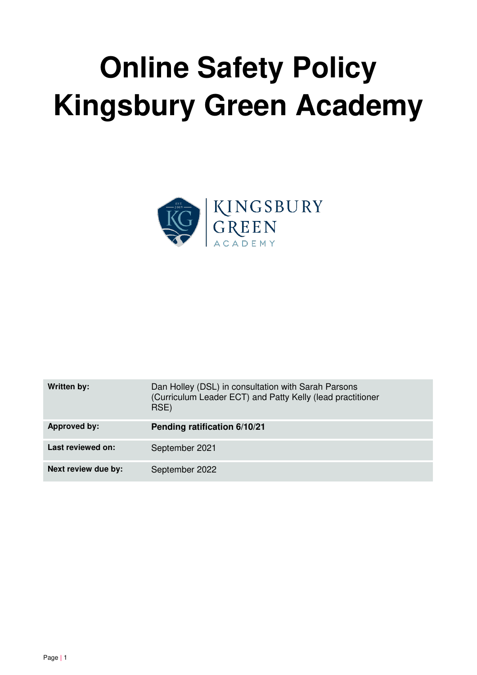# **Online Safety Policy Kingsbury Green Academy**



| Written by:         | Dan Holley (DSL) in consultation with Sarah Parsons<br>(Curriculum Leader ECT) and Patty Kelly (lead practitioner<br>RSE) |
|---------------------|---------------------------------------------------------------------------------------------------------------------------|
| <b>Approved by:</b> | Pending ratification 6/10/21                                                                                              |
| Last reviewed on:   | September 2021                                                                                                            |
| Next review due by: | September 2022                                                                                                            |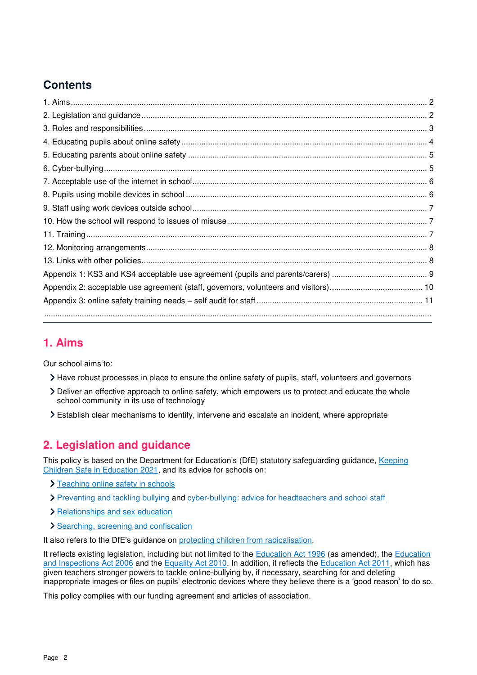# **Contents**

# <span id="page-1-0"></span>**1. Aims**

Our school aims to:

- Have robust processes in place to ensure the online safety of pupils, staff, volunteers and governors
- Deliver an effective approach to online safety, which empowers us to protect and educate the whole school community in its use of technology
- Establish clear mechanisms to identify, intervene and escalate an incident, where appropriate

# <span id="page-1-1"></span>**2. Legislation and guidance**

This policy is based on the Department for Education's (DfE) statutory safeguarding guidance, [Keeping](https://www.gov.uk/government/publications/keeping-children-safe-in-education--2)  [Children Safe in Education 2021,](https://www.gov.uk/government/publications/keeping-children-safe-in-education--2) and its advice for schools on:

- > [Teaching online safety in schools](https://www.gov.uk/government/publications/teaching-online-safety-in-schools)
- [Preventing and tackling bullying](https://www.gov.uk/government/publications/preventing-and-tackling-bullying) and [cyber-bullying: advice for headteachers and school staff](https://www.gov.uk/government/publications/preventing-and-tackling-bullying)
- > [Relationships and sex education](https://www.gov.uk/government/publications/relationships-education-relationships-and-sex-education-rse-and-health-education)
- > [Searching, screening and confiscation](https://www.gov.uk/government/publications/searching-screening-and-confiscation)

It also refers to the DfE's guidance on [protecting children from radicalisation.](https://www.gov.uk/government/publications/protecting-children-from-radicalisation-the-prevent-duty)

It reflects existing legislation, including but not limited to the [Education Act 1996](https://www.legislation.gov.uk/ukpga/1996/56/contents) (as amended), the Education [and Inspections Act 2006 a](https://www.legislation.gov.uk/ukpga/2006/40/contents)nd the [Equality Act 2010.](https://www.legislation.gov.uk/ukpga/2010/15/contents) In addition, it reflects the [Education Act 2011,](http://www.legislation.gov.uk/ukpga/2011/21/contents/enacted) which has given teachers stronger powers to tackle online-bullying by, if necessary, searching for and deleting inappropriate images or files on pupils' electronic devices where they believe there is a 'good reason' to do so.

This policy complies with our funding agreement and articles of association.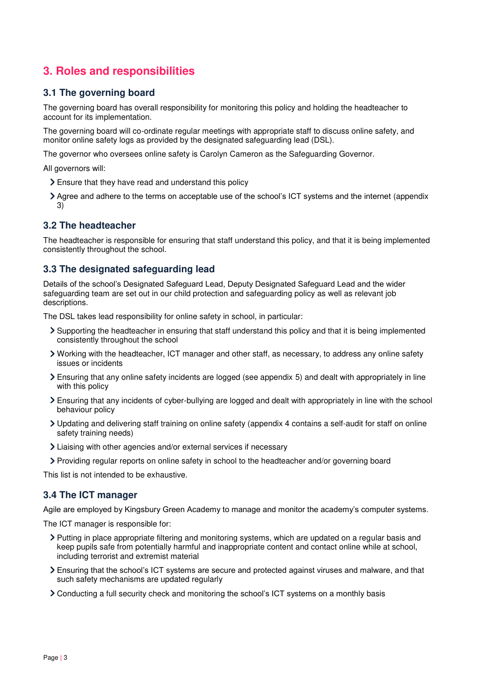# <span id="page-2-0"></span>**3. Roles and responsibilities**

## **3.1 The governing board**

The governing board has overall responsibility for monitoring this policy and holding the headteacher to account for its implementation.

The governing board will co-ordinate regular meetings with appropriate staff to discuss online safety, and monitor online safety logs as provided by the designated safeguarding lead (DSL).

The governor who oversees online safety is Carolyn Cameron as the Safeguarding Governor.

All governors will:

- Ensure that they have read and understand this policy
- Agree and adhere to the terms on acceptable use of the school's ICT systems and the internet (appendix 3)

## **3.2 The headteacher**

The headteacher is responsible for ensuring that staff understand this policy, and that it is being implemented consistently throughout the school.

## **3.3 The designated safeguarding lead**

Details of the school's Designated Safeguard Lead, Deputy Designated Safeguard Lead and the wider safeguarding team are set out in our child protection and safeguarding policy as well as relevant job descriptions.

The DSL takes lead responsibility for online safety in school, in particular:

- Supporting the headteacher in ensuring that staff understand this policy and that it is being implemented consistently throughout the school
- Working with the headteacher, ICT manager and other staff, as necessary, to address any online safety issues or incidents
- Ensuring that any online safety incidents are logged (see appendix 5) and dealt with appropriately in line with this policy
- Ensuring that any incidents of cyber-bullying are logged and dealt with appropriately in line with the school behaviour policy
- Updating and delivering staff training on online safety (appendix 4 contains a self-audit for staff on online safety training needs)
- Liaising with other agencies and/or external services if necessary
- Providing regular reports on online safety in school to the headteacher and/or governing board

This list is not intended to be exhaustive.

#### **3.4 The ICT manager**

Agile are employed by Kingsbury Green Academy to manage and monitor the academy's computer systems.

The ICT manager is responsible for:

- Putting in place appropriate filtering and monitoring systems, which are updated on a regular basis and keep pupils safe from potentially harmful and inappropriate content and contact online while at school, including terrorist and extremist material
- Ensuring that the school's ICT systems are secure and protected against viruses and malware, and that such safety mechanisms are updated regularly
- Conducting a full security check and monitoring the school's ICT systems on a monthly basis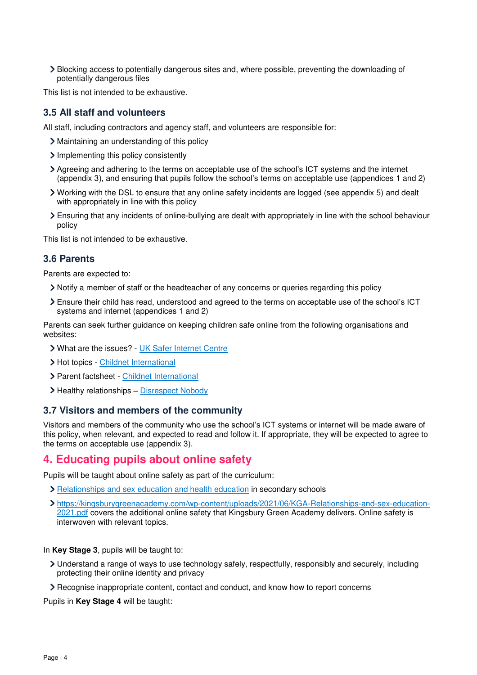Blocking access to potentially dangerous sites and, where possible, preventing the downloading of potentially dangerous files

This list is not intended to be exhaustive.

#### **3.5 All staff and volunteers**

All staff, including contractors and agency staff, and volunteers are responsible for:

- Maintaining an understanding of this policy
- Implementing this policy consistently
- Agreeing and adhering to the terms on acceptable use of the school's ICT systems and the internet (appendix 3), and ensuring that pupils follow the school's terms on acceptable use (appendices 1 and 2)
- Working with the DSL to ensure that any online safety incidents are logged (see appendix 5) and dealt with appropriately in line with this policy
- Ensuring that any incidents of online-bullying are dealt with appropriately in line with the school behaviour policy

This list is not intended to be exhaustive.

### **3.6 Parents**

Parents are expected to:

- Notify a member of staff or the headteacher of any concerns or queries regarding this policy
- Ensure their child has read, understood and agreed to the terms on acceptable use of the school's ICT systems and internet (appendices 1 and 2)

Parents can seek further guidance on keeping children safe online from the following organisations and websites:

- What are the issues? - [UK Safer Internet Centre](https://www.saferinternet.org.uk/advice-centre/parents-and-carers/what-are-issues)
- > Hot topics - [Childnet International](http://www.childnet.com/parents-and-carers/hot-topics)
- Parent factsheet - [Childnet International](https://www.childnet.com/resources/parents-and-carers-resource-sheet)
- > Healthy relationships [Disrespect Nobody](https://www.disrespectnobody.co.uk/)

#### **3.7 Visitors and members of the community**

Visitors and members of the community who use the school's ICT systems or internet will be made aware of this policy, when relevant, and expected to read and follow it. If appropriate, they will be expected to agree to the terms on acceptable use (appendix 3).

## <span id="page-3-0"></span>**4. Educating pupils about online safety**

Pupils will be taught about online safety as part of the curriculum:

- [Relationships and sex education and health education](https://schoolleaders.thekeysupport.com/uid/66a1d83e-2fb9-411e-91f1-fe52a09d16d1/) in secondary schools
- [https://kingsburygreenacademy.com/wp-content/uploads/2021/06/KGA-Relationships-and-sex-education-](https://kingsburygreenacademy.com/wp-content/uploads/2021/06/KGA-Relationships-and-sex-education-2021.pdf)[2021.pdf](https://kingsburygreenacademy.com/wp-content/uploads/2021/06/KGA-Relationships-and-sex-education-2021.pdf) covers the additional online safety that Kingsbury Green Academy delivers. Online safety is interwoven with relevant topics.

In **Key Stage 3**, pupils will be taught to:

- Understand a range of ways to use technology safely, respectfully, responsibly and securely, including protecting their online identity and privacy
- Recognise inappropriate content, contact and conduct, and know how to report concerns

Pupils in **Key Stage 4** will be taught: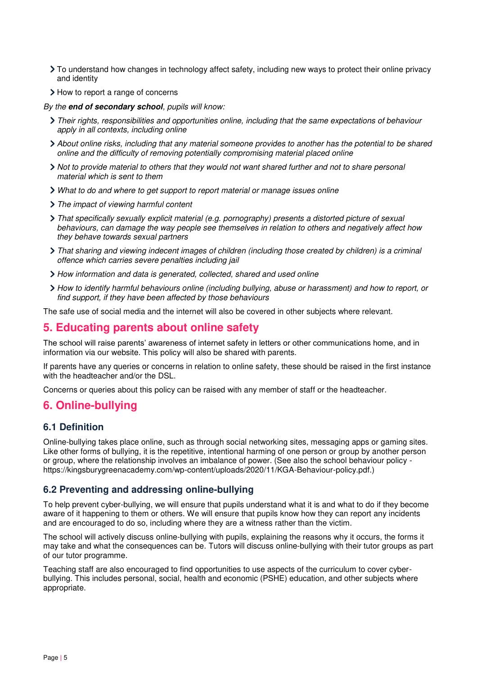- To understand how changes in technology affect safety, including new ways to protect their online privacy and identity
- > How to report a range of concerns

*By the* **end of secondary school***, pupils will know:* 

- *Their rights, responsibilities and opportunities online, including that the same expectations of behaviour apply in all contexts, including online*
- *About online risks, including that any material someone provides to another has the potential to be shared online and the difficulty of removing potentially compromising material placed online*
- *Not to provide material to others that they would not want shared further and not to share personal material which is sent to them*
- *What to do and where to get support to report material or manage issues online*
- *The impact of viewing harmful content*
- *That specifically sexually explicit material (e.g. pornography) presents a distorted picture of sexual behaviours, can damage the way people see themselves in relation to others and negatively affect how they behave towards sexual partners*
- *That sharing and viewing indecent images of children (including those created by children) is a criminal offence which carries severe penalties including jail*
- *How information and data is generated, collected, shared and used online*
- *How to identify harmful behaviours online (including bullying, abuse or harassment) and how to report, or find support, if they have been affected by those behaviours*

The safe use of social media and the internet will also be covered in other subjects where relevant.

## <span id="page-4-0"></span>**5. Educating parents about online safety**

The school will raise parents' awareness of internet safety in letters or other communications home, and in information via our website. This policy will also be shared with parents.

If parents have any queries or concerns in relation to online safety, these should be raised in the first instance with the headteacher and/or the DSL.

Concerns or queries about this policy can be raised with any member of staff or the headteacher.

## <span id="page-4-1"></span>**6. Online-bullying**

## **6.1 Definition**

Online-bullying takes place online, such as through social networking sites, messaging apps or gaming sites. Like other forms of bullying, it is the repetitive, intentional harming of one person or group by another person or group, where the relationship involves an imbalance of power. (See also the school behaviour policy https://kingsburygreenacademy.com/wp-content/uploads/2020/11/KGA-Behaviour-policy.pdf.)

## **6.2 Preventing and addressing online-bullying**

To help prevent cyber-bullying, we will ensure that pupils understand what it is and what to do if they become aware of it happening to them or others. We will ensure that pupils know how they can report any incidents and are encouraged to do so, including where they are a witness rather than the victim.

The school will actively discuss online-bullying with pupils, explaining the reasons why it occurs, the forms it may take and what the consequences can be. Tutors will discuss online-bullying with their tutor groups as part of our tutor programme.

Teaching staff are also encouraged to find opportunities to use aspects of the curriculum to cover cyberbullying. This includes personal, social, health and economic (PSHE) education, and other subjects where appropriate.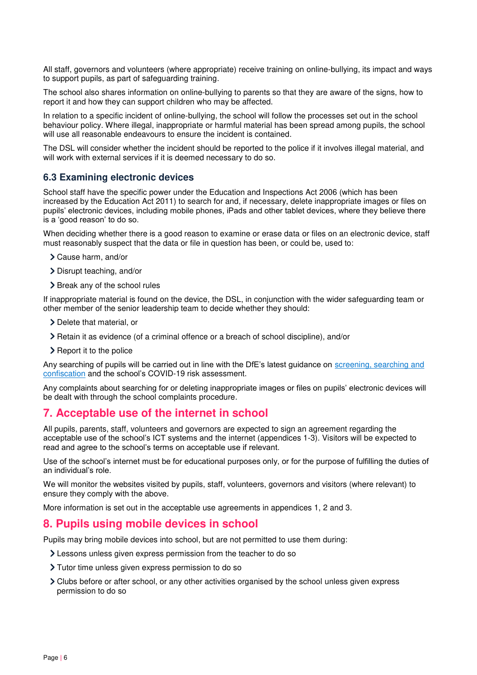All staff, governors and volunteers (where appropriate) receive training on online-bullying, its impact and ways to support pupils, as part of safeguarding training.

The school also shares information on online-bullying to parents so that they are aware of the signs, how to report it and how they can support children who may be affected.

In relation to a specific incident of online-bullying, the school will follow the processes set out in the school behaviour policy. Where illegal, inappropriate or harmful material has been spread among pupils, the school will use all reasonable endeavours to ensure the incident is contained.

The DSL will consider whether the incident should be reported to the police if it involves illegal material, and will work with external services if it is deemed necessary to do so.

#### **6.3 Examining electronic devices**

School staff have the specific power under the Education and Inspections Act 2006 (which has been increased by the Education Act 2011) to search for and, if necessary, delete inappropriate images or files on pupils' electronic devices, including mobile phones, iPads and other tablet devices, where they believe there is a 'good reason' to do so.

When deciding whether there is a good reason to examine or erase data or files on an electronic device, staff must reasonably suspect that the data or file in question has been, or could be, used to:

- Cause harm, and/or
- Disrupt teaching, and/or
- > Break any of the school rules

If inappropriate material is found on the device, the DSL, in conjunction with the wider safeguarding team or other member of the senior leadership team to decide whether they should:

- > Delete that material, or
- Retain it as evidence (of a criminal offence or a breach of school discipline), and/or
- > Report it to the police

Any searching of pupils will be carried out in line with the DfE's latest guidance on [screening, searching and](https://www.gov.uk/government/publications/searching-screening-and-confiscation)  [confiscation](https://www.gov.uk/government/publications/searching-screening-and-confiscation) and the school's COVID-19 risk assessment.

Any complaints about searching for or deleting inappropriate images or files on pupils' electronic devices will be dealt with through the school complaints procedure.

## <span id="page-5-0"></span>**7. Acceptable use of the internet in school**

All pupils, parents, staff, volunteers and governors are expected to sign an agreement regarding the acceptable use of the school's ICT systems and the internet (appendices 1-3). Visitors will be expected to read and agree to the school's terms on acceptable use if relevant.

Use of the school's internet must be for educational purposes only, or for the purpose of fulfilling the duties of an individual's role.

We will monitor the websites visited by pupils, staff, volunteers, governors and visitors (where relevant) to ensure they comply with the above.

More information is set out in the acceptable use agreements in appendices 1, 2 and 3.

## <span id="page-5-1"></span>**8. Pupils using mobile devices in school**

Pupils may bring mobile devices into school, but are not permitted to use them during:

- Lessons unless given express permission from the teacher to do so
- Tutor time unless given express permission to do so
- Clubs before or after school, or any other activities organised by the school unless given express permission to do so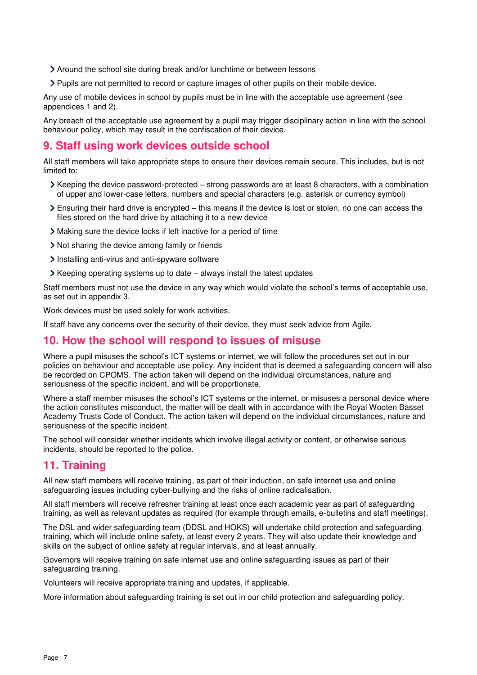- Around the school site during break and/or lunchtime or between lessons
- Pupils are not permitted to record or capture images of other pupils on their mobile device.

Any use of mobile devices in school by pupils must be in line with the acceptable use agreement (see appendices 1 and 2).

Any breach of the acceptable use agreement by a pupil may trigger disciplinary action in line with the school behaviour policy, which may result in the confiscation of their device.

## <span id="page-6-0"></span>**9. Staff using work devices outside school**

All staff members will take appropriate steps to ensure their devices remain secure. This includes, but is not limited to:

- $\triangleright$  Keeping the device password-protected strong passwords are at least 8 characters, with a combination of upper and lower-case letters, numbers and special characters (e.g. asterisk or currency symbol)
- Ensuring their hard drive is encrypted this means if the device is lost or stolen, no one can access the files stored on the hard drive by attaching it to a new device
- Making sure the device locks if left inactive for a period of time
- Not sharing the device among family or friends
- Installing anti-virus and anti-spyware software
- $\triangleright$  Keeping operating systems up to date always install the latest updates

Staff members must not use the device in any way which would violate the school's terms of acceptable use, as set out in appendix 3.

Work devices must be used solely for work activities.

If staff have any concerns over the security of their device, they must seek advice from Agile.

#### <span id="page-6-1"></span>**10. How the school will respond to issues of misuse**

Where a pupil misuses the school's ICT systems or internet, we will follow the procedures set out in our policies on behaviour and acceptable use policy. Any incident that is deemed a safeguarding concern will also be recorded on CPOMS. The action taken will depend on the individual circumstances, nature and seriousness of the specific incident, and will be proportionate.

Where a staff member misuses the school's ICT systems or the internet, or misuses a personal device where the action constitutes misconduct, the matter will be dealt with in accordance with the Royal Wooten Basset Academy Trusts Code of Conduct. The action taken will depend on the individual circumstances, nature and seriousness of the specific incident.

The school will consider whether incidents which involve illegal activity or content, or otherwise serious incidents, should be reported to the police.

## <span id="page-6-2"></span>**11. Training**

All new staff members will receive training, as part of their induction, on safe internet use and online safeguarding issues including cyber-bullying and the risks of online radicalisation.

All staff members will receive refresher training at least once each academic year as part of safeguarding training, as well as relevant updates as required (for example through emails, e-bulletins and staff meetings).

The DSL and wider safeguarding team (DDSL and HOKS) will undertake child protection and safeguarding training, which will include online safety, at least every 2 years. They will also update their knowledge and skills on the subject of online safety at regular intervals, and at least annually.

Governors will receive training on safe internet use and online safeguarding issues as part of their safeguarding training.

Volunteers will receive appropriate training and updates, if applicable.

More information about safeguarding training is set out in our child protection and safeguarding policy.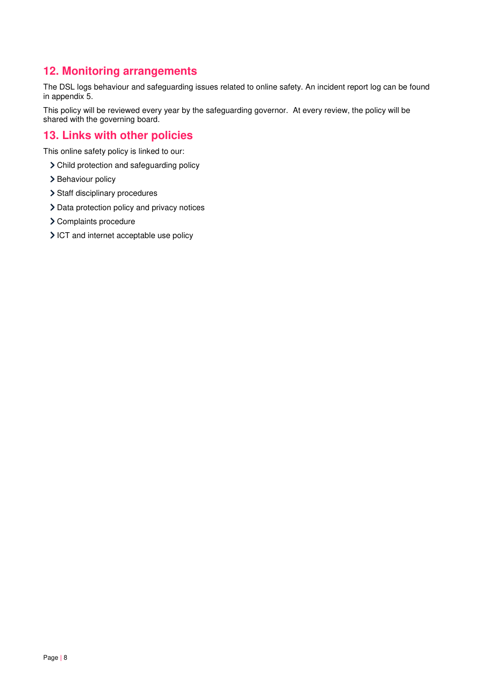# <span id="page-7-0"></span>**12. Monitoring arrangements**

The DSL logs behaviour and safeguarding issues related to online safety. An incident report log can be found in appendix 5.

This policy will be reviewed every year by the safeguarding governor. At every review, the policy will be shared with the governing board.

# <span id="page-7-1"></span>**13. Links with other policies**

This online safety policy is linked to our:

- Child protection and safeguarding policy
- > Behaviour policy
- > Staff disciplinary procedures
- > Data protection policy and privacy notices
- > Complaints procedure
- ICT and internet acceptable use policy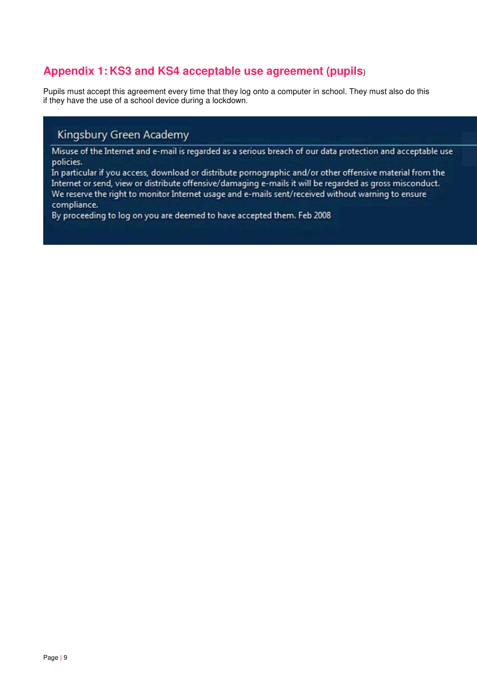# <span id="page-8-0"></span>**Appendix 1: KS3 and KS4 acceptable use agreement (pupils**)

Pupils must accept this agreement every time that they log onto a computer in school. They must also do this if they have the use of a school device during a lockdown.

# Kingsbury Green Academy

Misuse of the Internet and e-mail is regarded as a serious breach of our data protection and acceptable use policies.

In particular if you access, download or distribute pornographic and/or other offensive material from the Internet or send, view or distribute offensive/damaging e-mails it will be regarded as gross misconduct. We reserve the right to monitor Internet usage and e-mails sent/received without warning to ensure compliance.

By proceeding to log on you are deemed to have accepted them. Feb 2008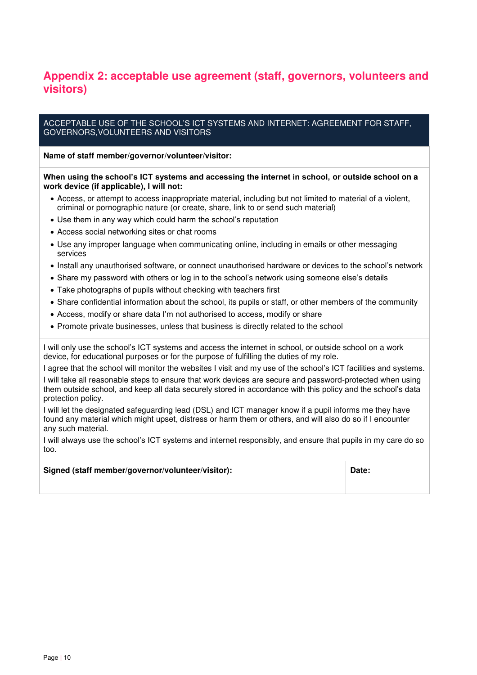# <span id="page-9-0"></span>**Appendix 2: acceptable use agreement (staff, governors, volunteers and visitors)**

#### ACCEPTABLE USE OF THE SCHOOL'S ICT SYSTEMS AND INTERNET: AGREEMENT FOR STAFF, GOVERNORS,VOLUNTEERS AND VISITORS

#### **Name of staff member/governor/volunteer/visitor:**

#### **When using the school's ICT systems and accessing the internet in school, or outside school on a work device (if applicable), I will not:**

- Access, or attempt to access inappropriate material, including but not limited to material of a violent, criminal or pornographic nature (or create, share, link to or send such material)
- Use them in any way which could harm the school's reputation
- Access social networking sites or chat rooms
- Use any improper language when communicating online, including in emails or other messaging services
- Install any unauthorised software, or connect unauthorised hardware or devices to the school's network
- Share my password with others or log in to the school's network using someone else's details
- Take photographs of pupils without checking with teachers first
- Share confidential information about the school, its pupils or staff, or other members of the community
- Access, modify or share data I'm not authorised to access, modify or share
- Promote private businesses, unless that business is directly related to the school

I will only use the school's ICT systems and access the internet in school, or outside school on a work device, for educational purposes or for the purpose of fulfilling the duties of my role.

I agree that the school will monitor the websites I visit and my use of the school's ICT facilities and systems. I will take all reasonable steps to ensure that work devices are secure and password-protected when using them outside school, and keep all data securely stored in accordance with this policy and the school's data protection policy.

I will let the designated safeguarding lead (DSL) and ICT manager know if a pupil informs me they have found any material which might upset, distress or harm them or others, and will also do so if I encounter any such material.

I will always use the school's ICT systems and internet responsibly, and ensure that pupils in my care do so too.

| Signed (staff member/governor/volunteer/visitor): | Date: |
|---------------------------------------------------|-------|
|---------------------------------------------------|-------|